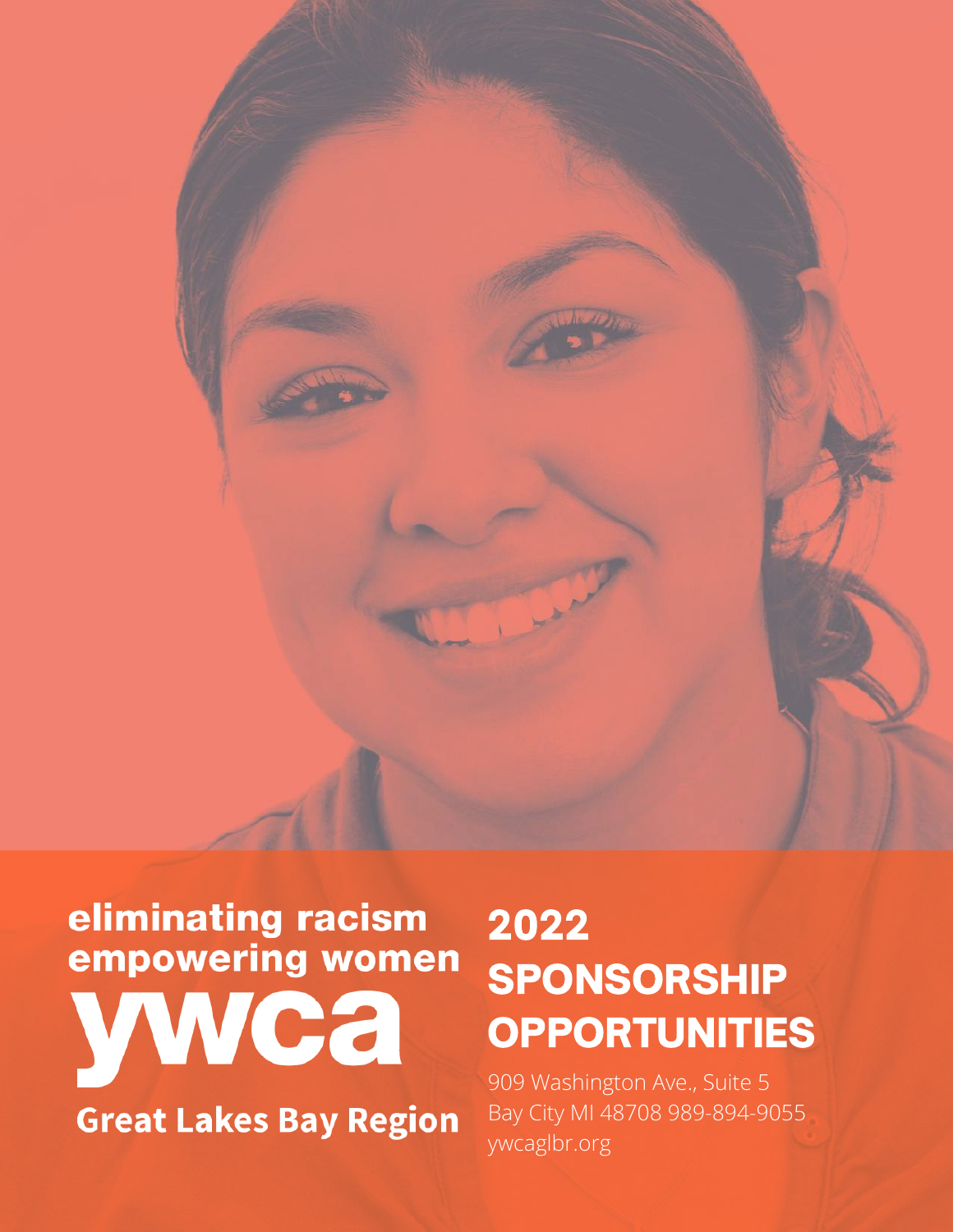

# eliminating racism<br>empowering women wwca

**Great Lakes Bay Region** 

## 2022 SPONSORSHIP **OPPORTUNITIES**

909 Washington Ave., Suite 5 Bay City MI 48708 989-894-9055 ywcaglbr.org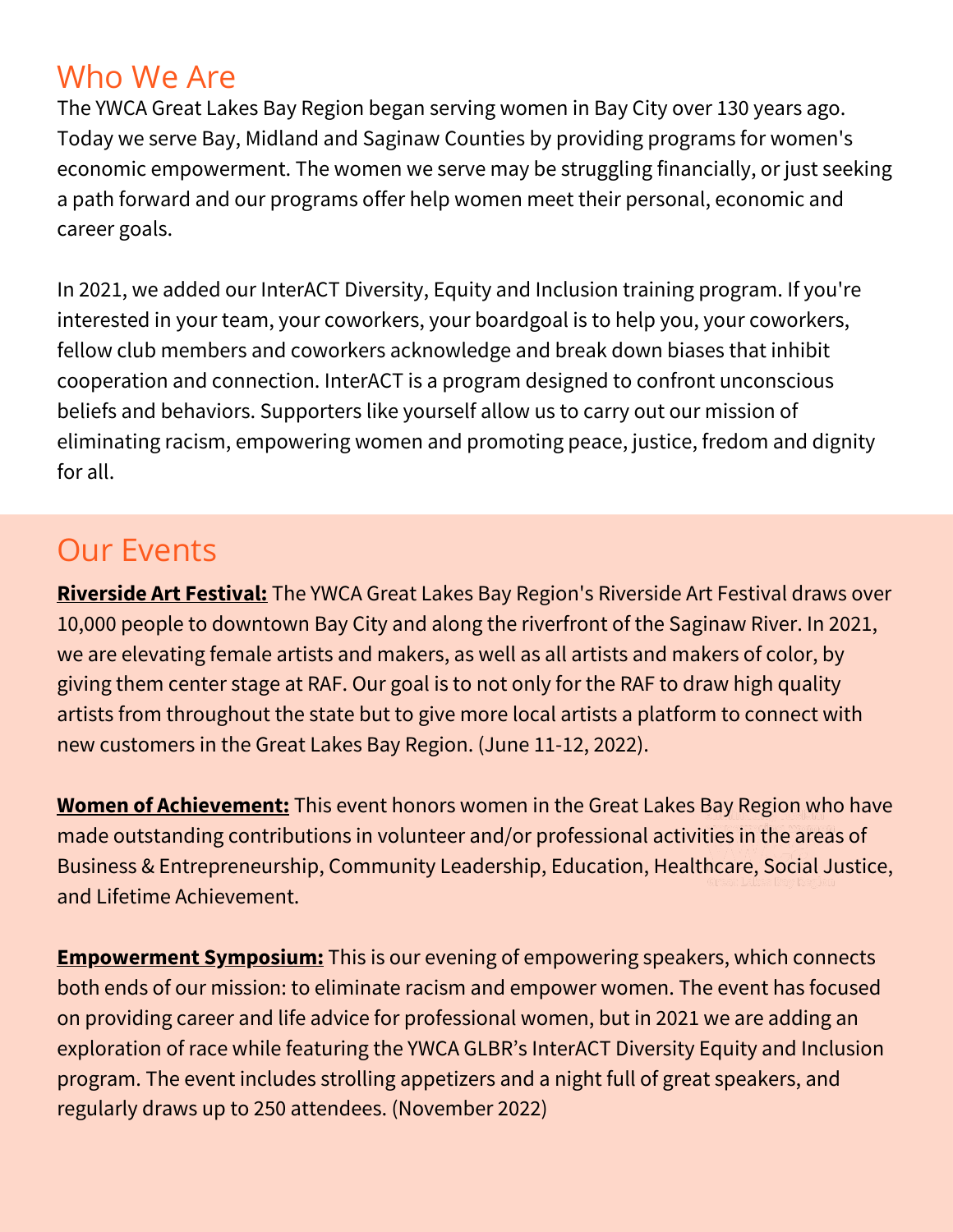### Who We Are

The YWCA Great Lakes Bay Region began serving women in Bay City over 130 years ago. Today we serve Bay, Midland and Saginaw Counties by providing programs for women's economic empowerment. The women we serve may be struggling financially, or just seeking a path forward and our programs offer help women meet their personal, economic and career goals.

In 2021, we added our InterACT Diversity, Equity and Inclusion training program. If you're interested in your team, your coworkers, your boardgoal is to help you, your coworkers, fellow club members and coworkers acknowledge and break down biases that inhibit cooperation and connection. InterACT is a program designed to confront unconscious beliefs and behaviors. Supporters like yourself allow us to carry out our mission of eliminating racism, empowering women and promoting peace, justice, fredom and dignity for all.

## Our Events

**Riverside Art Festival:** The YWCA Great Lakes Bay Region's Riverside Art Festival draws over 10,000 people to downtown Bay City and along the riverfront of the Saginaw River. In 2021, we are elevating female artists and makers, as well as all artists and makers of color, by giving them center stage at RAF. Our goal is to not only for the RAF to draw high quality artists from throughout the state but to give more local artists a platform to connect with new customers in the Great Lakes Bay Region. (June 11-12, 2022).

**Women of Achievement:** This event honors women in the Great Lakes Bay Region who have made outstanding contributions in volunteer and/or professional activities in the areas of Business & Entrepreneurship, Community Leadership, Education, Healthcare, Social Justice, and Lifetime Achievement.

**Empowerment Symposium:** This is our evening of empowering speakers, which connects both ends of our mission: to eliminate racism and empower women. The event has focused on providing career and life advice for professional women, but in 2021 we are adding an exploration of race while featuring the YWCA GLBR's InterACT Diversity Equity and Inclusion program. The event includes strolling appetizers and a night full of great speakers, and regularly draws up to 250 attendees. (November 2022)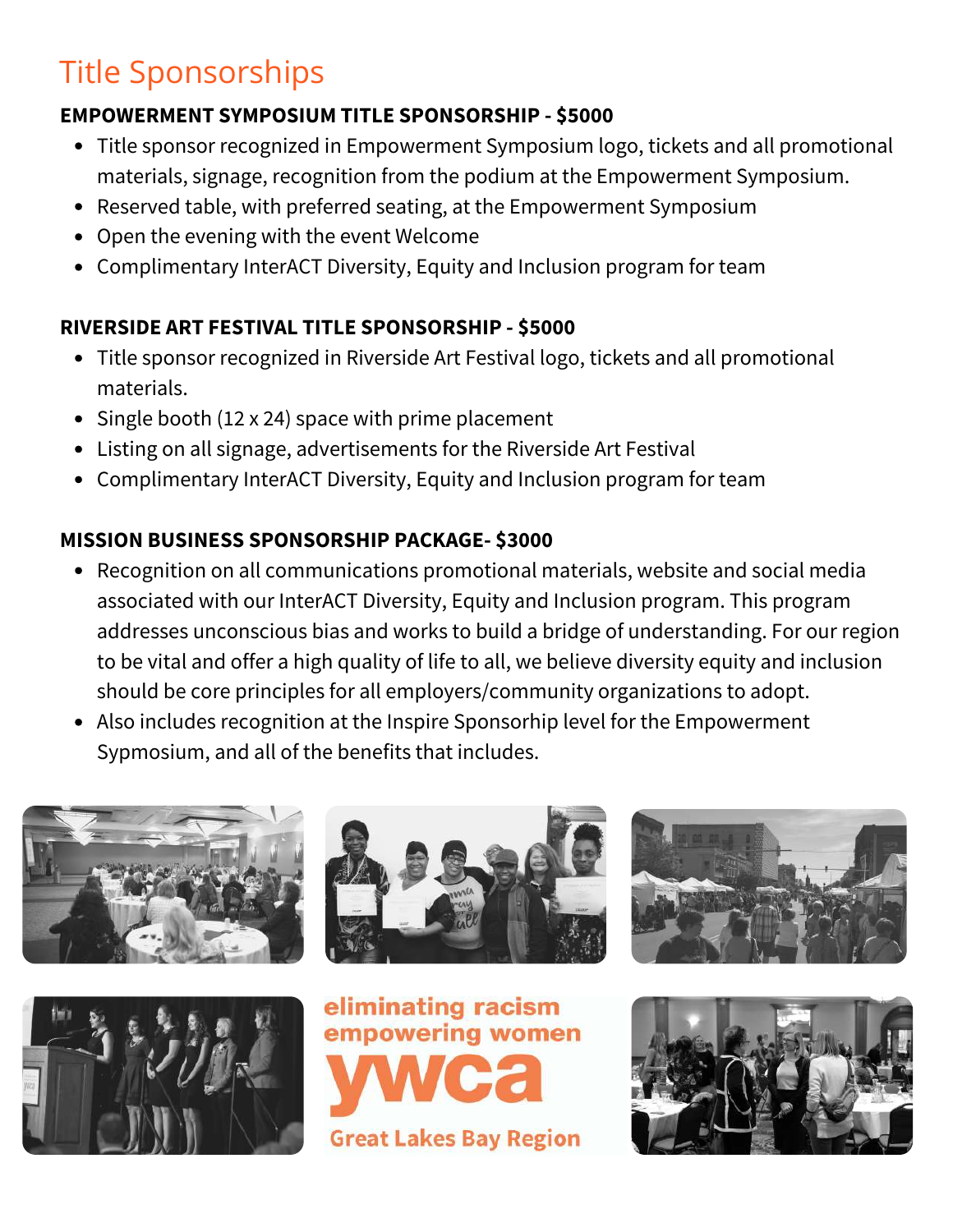## Title Sponsorships

#### **EMPOWERMENT SYMPOSIUM TITLE SPONSORSHIP - \$5000**

- Title sponsor recognized in Empowerment Symposium logo, tickets and all promotional materials, signage, recognition from the podium at the Empowerment Symposium.
- Reserved table, with preferred seating, at the Empowerment Symposium
- Open the evening with the event Welcome
- Complimentary InterACT Diversity, Equity and Inclusion program for team

#### **RIVERSIDE ART FESTIVAL TITLE SPONSORSHIP - \$5000**

- Title sponsor recognized in Riverside Art Festival logo, tickets and all promotional materials.
- Single booth (12 x 24) space with prime placement
- Listing on all signage, advertisements for the Riverside Art Festival
- Complimentary InterACT Diversity, Equity and Inclusion program for team

#### **MISSION BUSINESS SPONSORSHIP PACKAGE- \$3000**

- Recognition on all communications promotional materials, website and social media associated with our InterACT Diversity, Equity and Inclusion program. This program addresses unconscious bias and works to build a bridge of understanding. For our region to be vital and offer a high quality of life to all, we believe diversity equity and inclusion should be core principles for all employers/community organizations to adopt.
- Also includes recognition at the Inspire Sponsorhip level for the Empowerment Sypmosium, and all of the benefits that includes.